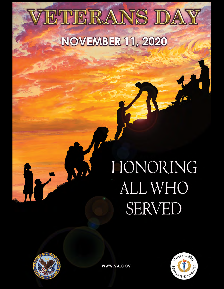# ETERANS DAY **NOVEMBER 11, 2020**

# HONORING ALL WHO **SERVED**





WWW.VA.GOV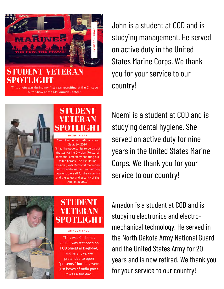

## **SPOTLIGHT**

"This photo was during my first year recruiting at the Chicago Auto Show at the McCormick Center."



John is a student at COD and is studying management. He served on active duty in the United States Marine Corps. We thank you for your service to our country!

Noemi is a student at COD and is studying dental hygiene. She served on active duty for nine years in the United States Marine Corps. We thank you for your service to our country!



# **STIJDENT**

AMADON FAUL

"This was Christmas 2008. I was stationed on FOB Shield in Baghdad, and as a joke, we pretended to open "presents," but they were just boxes of radio parts. It was a fun day."

Amadon is a student at COD and is studying electronics and electromechanical technology. He served in the North Dakota Army National Guard and the United States Army for 20 years and is now retired. We thank you for your service to our country!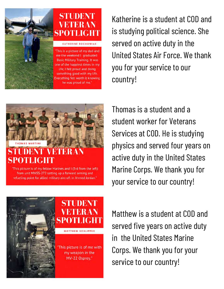

Katherine is a student at COD and is studying political science. She served on active duty in the United States Air Force. We thank you for your service to our country!

Thomas is a student and a student worker for Veterans Services at COD. He is studying physics and served four years on active duty in the United States Marine Corps. We thank you for your service to our country!





"This picture is of my fellow Marines and I (3rd from the left) from unit MWSS-272 setting up a forward arming and refueling point for allied military aircraft in Ahmed Jordan."



STUDENT MEIGHA **MATTHEW SCHLIPPER** 

This picture is of me with my weapon in the MV-22 Osprey."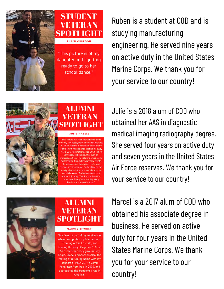

## STUDENT SPOTLIC **RUBEN OBREGON**

This picture is of my daughter and I getting ready to go to her school dance."

Ruben is a student at COD and is studying manufacturing engineering. He served nine years on active duty in the United States Marine Corps. We thank you for your service to our country!



Julie is a 2018 alum of COD who obtained her AAS in diagnostic medical imaging radiography degree. She served four years on active duty and seven years in the United States Air Force reserves. We thank you for your service to our country!



### **ALUMNI** VETER A SPOTLIGH

#### **MARCEL RITCHEY**

"My favorite part of my service was when I completed my Marine Corps Training of the Crucible, and hearing the song, I'm proud to be an American when they gave me my Eagle, Globe, and Anchor. Also, the feeling of returning home with my squadron HMLA-267 to Camp Pendleton from Iraq in 2003, and appreciated the freedoms I had in America."

Marcel is a 2017 alum of COD who obtained his associate degree in business. He served on active duty for four years in the United States Marine Corps. We thank you for your service to our country!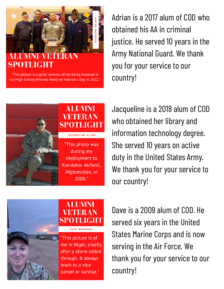

# **SPOTLICHT**

"This picture is a great memory of me being honored at my High School (Proviso West) on Veteran's Day in 2011."



Adrian is a 2017 alum of COD who obtained his AA in criminal justice. He served 10 years in the Army National Guard. We thank you for your service to our country!

Jacqueline is a 2018 alum of COD who obtained her library and information technology degree. She served 10 years on active duty in the United States Army. We thank you for your service to our country!

Dave is a 2009 alum of COD. He served six years in the United States Marine Corps and is now serving in the Air Force. We thank you for your service to our country!



**ALUMNI** TLIGHT **DAVE WERKEMA** 

"This picture is of me in Niger, shortly after a storm rolled through. It always leads to a nice sunset or sunrise."